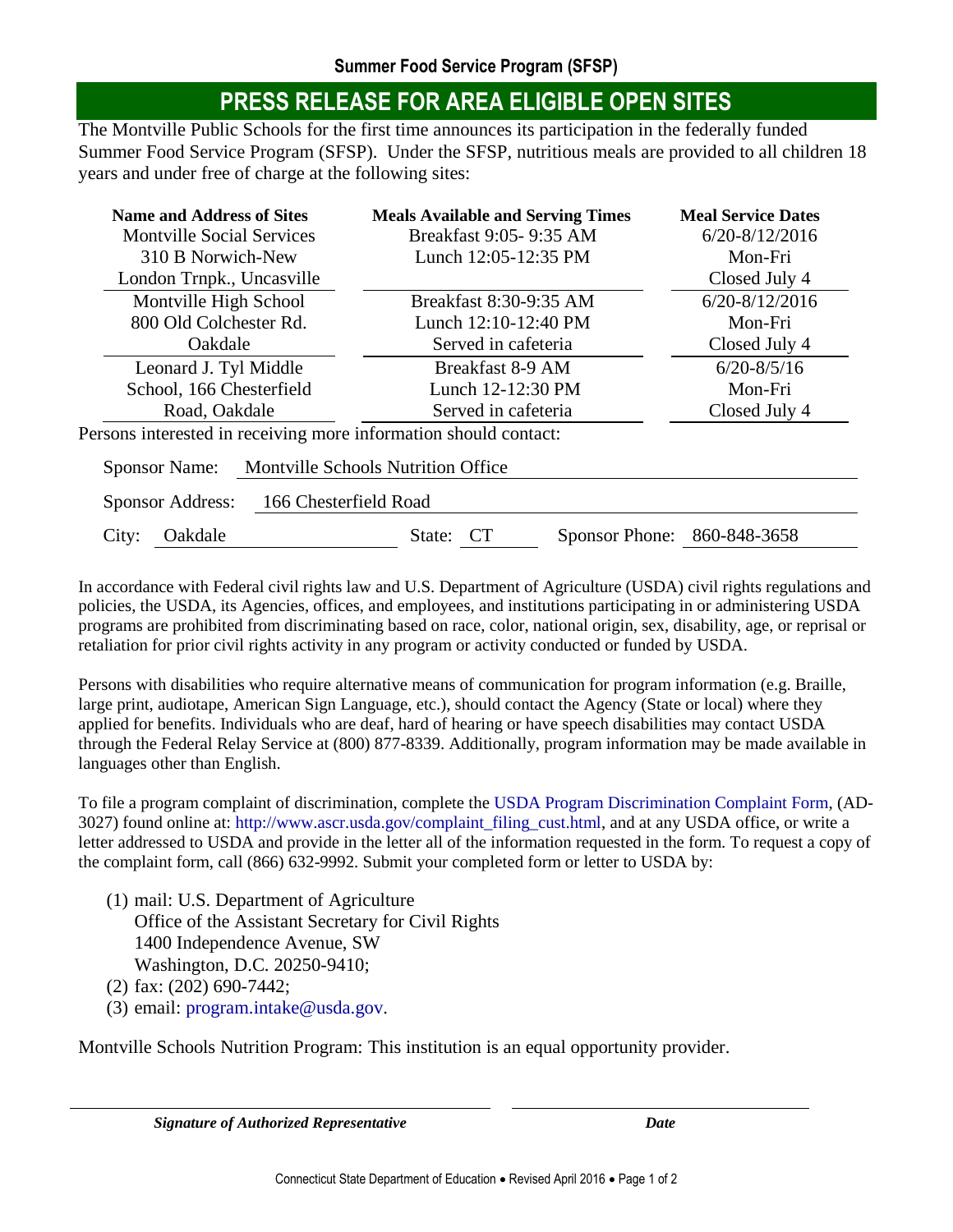## **PRESS RELEASE FOR AREA ELIGIBLE OPEN SITES**

The Montville Public Schools for the first time announces its participation in the federally funded Summer Food Service Program (SFSP). Under the SFSP, nutritious meals are provided to all children 18 years and under free of charge at the following sites:

| <b>Name and Address of Sites</b><br><b>Montville Social Services</b> | <b>Meals Available and Serving Times</b><br>Breakfast 9:05- 9:35 AM | <b>Meal Service Dates</b><br>$6/20 - 8/12/2016$ |
|----------------------------------------------------------------------|---------------------------------------------------------------------|-------------------------------------------------|
| 310 B Norwich-New                                                    | Lunch 12:05-12:35 PM                                                | Mon-Fri                                         |
| London Trnpk., Uncasville                                            |                                                                     | Closed July 4                                   |
| Montville High School                                                | Breakfast 8:30-9:35 AM                                              | $6/20 - 8/12/2016$                              |
| 800 Old Colchester Rd.                                               | Lunch 12:10-12:40 PM                                                | Mon-Fri                                         |
| Oakdale                                                              | Served in cafeteria                                                 | Closed July 4                                   |
| Leonard J. Tyl Middle                                                | Breakfast 8-9 AM                                                    | $6/20 - 8/5/16$                                 |
| School, 166 Chesterfield                                             | Lunch 12-12:30 PM                                                   | Mon-Fri                                         |
| Road, Oakdale                                                        | Served in cafeteria                                                 | Closed July 4                                   |
| Persons interested in receiving more information should contact:     |                                                                     |                                                 |
| <b>Montville Schools Nutrition Office</b><br><b>Sponsor Name:</b>    |                                                                     |                                                 |
| 166 Chesterfield Road<br>Sponsor Address:                            |                                                                     |                                                 |
| Oakdale<br>City:                                                     | CT<br>Sponsor Phone:<br>State:                                      | 860-848-3658                                    |

In accordance with Federal civil rights law and U.S. Department of Agriculture (USDA) civil rights regulations and policies, the USDA, its Agencies, offices, and employees, and institutions participating in or administering USDA programs are prohibited from discriminating based on race, color, national origin, sex, disability, age, or reprisal or retaliation for prior civil rights activity in any program or activity conducted or funded by USDA.

Persons with disabilities who require alternative means of communication for program information (e.g. Braille, large print, audiotape, American Sign Language, etc.), should contact the Agency (State or local) where they applied for benefits. Individuals who are deaf, hard of hearing or have speech disabilities may contact USDA through the Federal Relay Service at (800) 877-8339. Additionally, program information may be made available in languages other than English.

To file a program complaint of discrimination, complete the [USDA Program Discrimination Complaint Form,](http://www.ocio.usda.gov/sites/default/files/docs/2012/Complain_combined_6_8_12.pdf) (AD-3027) found online at: [http://www.ascr.usda.gov/complaint\\_filing\\_cust.html,](http://www.ascr.usda.gov/complaint_filing_cust.html) and at any USDA office, or write a letter addressed to USDA and provide in the letter all of the information requested in the form. To request a copy of the complaint form, call (866) 632-9992. Submit your completed form or letter to USDA by:

(1) mail: U.S. Department of Agriculture Office of the Assistant Secretary for Civil Rights 1400 Independence Avenue, SW Washington, D.C. 20250-9410;

(2) fax: (202) 690-7442;

(3) email: [program.intake@usda.gov.](mailto:program.intake@usda.gov)

Montville Schools Nutrition Program: This institution is an equal opportunity provider.